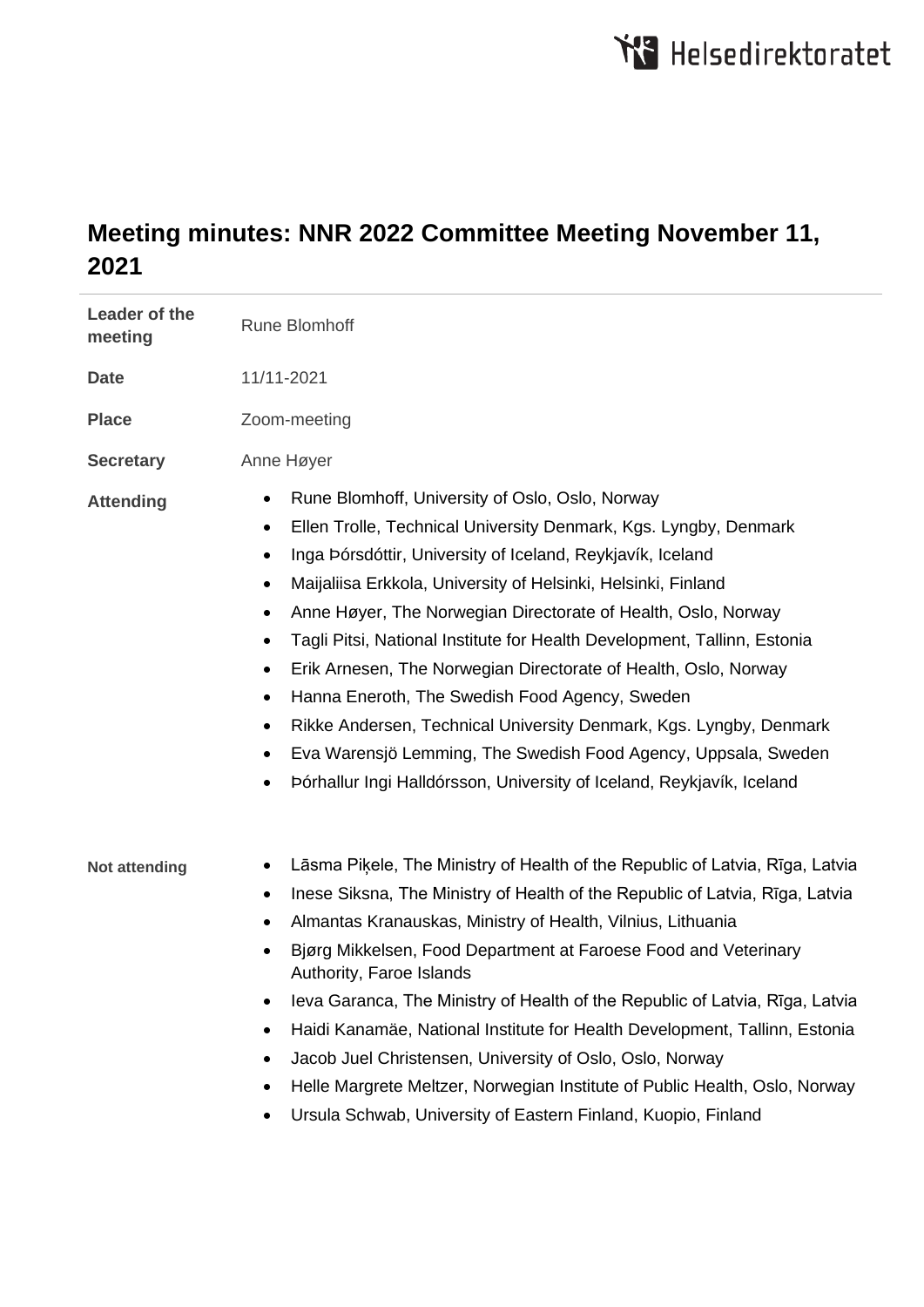## **Meeting minutes: NNR 2022 Committee Meeting November 11, 2021**

| Leader of the<br>meeting | <b>Rune Blomhoff</b>                                                                                                                                                                                                                                                                                                                                                                                                                                                                                                                                                                                                                                                                                                                                                                                               |
|--------------------------|--------------------------------------------------------------------------------------------------------------------------------------------------------------------------------------------------------------------------------------------------------------------------------------------------------------------------------------------------------------------------------------------------------------------------------------------------------------------------------------------------------------------------------------------------------------------------------------------------------------------------------------------------------------------------------------------------------------------------------------------------------------------------------------------------------------------|
| <b>Date</b>              | 11/11-2021                                                                                                                                                                                                                                                                                                                                                                                                                                                                                                                                                                                                                                                                                                                                                                                                         |
| <b>Place</b>             | Zoom-meeting                                                                                                                                                                                                                                                                                                                                                                                                                                                                                                                                                                                                                                                                                                                                                                                                       |
| <b>Secretary</b>         | Anne Høyer                                                                                                                                                                                                                                                                                                                                                                                                                                                                                                                                                                                                                                                                                                                                                                                                         |
| <b>Attending</b>         | Rune Blomhoff, University of Oslo, Oslo, Norway<br>٠<br>Ellen Trolle, Technical University Denmark, Kgs. Lyngby, Denmark<br>٠<br>Inga Þórsdóttir, University of Iceland, Reykjavík, Iceland<br>$\bullet$<br>Maijaliisa Erkkola, University of Helsinki, Helsinki, Finland<br>$\bullet$<br>Anne Høyer, The Norwegian Directorate of Health, Oslo, Norway<br>٠<br>Tagli Pitsi, National Institute for Health Development, Tallinn, Estonia<br>٠<br>Erik Arnesen, The Norwegian Directorate of Health, Oslo, Norway<br>٠<br>Hanna Eneroth, The Swedish Food Agency, Sweden<br>$\bullet$<br>Rikke Andersen, Technical University Denmark, Kgs. Lyngby, Denmark<br>$\bullet$<br>Eva Warensjö Lemming, The Swedish Food Agency, Uppsala, Sweden<br>Þórhallur Ingi Halldórsson, University of Iceland, Reykjavík, Iceland |
| <b>Not attending</b>     | Lāsma Piķele, The Ministry of Health of the Republic of Latvia, Rīga, Latvia<br>٠<br>Inese Siksna, The Ministry of Health of the Republic of Latvia, Rīga, Latvia<br>٠<br>Almantas Kranauskas, Ministry of Health, Vilnius, Lithuania<br>٠<br>Bjørg Mikkelsen, Food Department at Faroese Food and Veterinary<br>٠<br>Authority, Faroe Islands<br>Ieva Garanca, The Ministry of Health of the Republic of Latvia, Rīga, Latvia<br>Haidi Kanamäe, National Institute for Health Development, Tallinn, Estonia<br>٠<br>Jacob Juel Christensen, University of Oslo, Oslo, Norway<br>٠<br>Helle Margrete Meltzer, Norwegian Institute of Public Health, Oslo, Norway<br>٠<br>Ursula Schwab, University of Eastern Finland, Kuopio, Finland                                                                             |